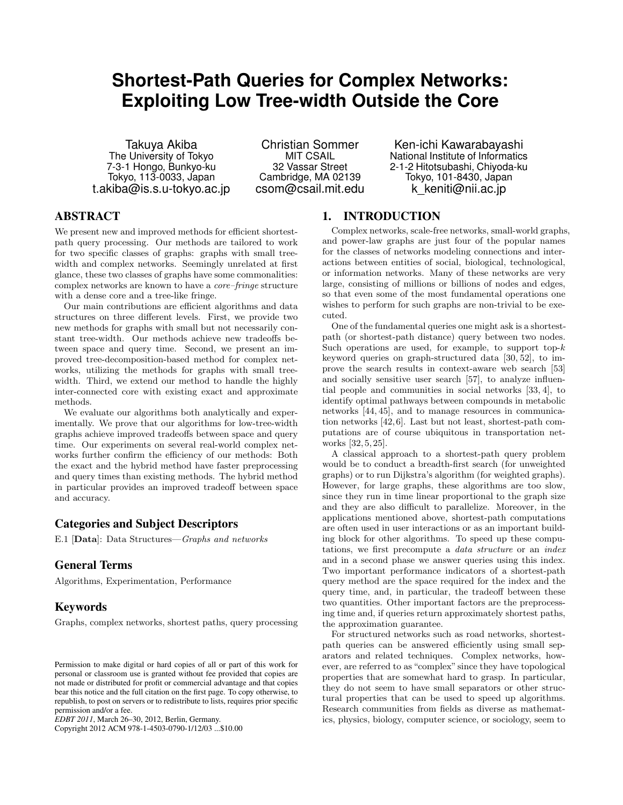# **Shortest-Path Queries for Complex Networks: Exploiting Low Tree-width Outside the Core**

Takuya Akiba The University of Tokyo 7-3-1 Hongo, Bunkyo-ku Tokyo, 113-0033, Japan t.akiba@is.s.u-tokyo.ac.jp

Christian Sommer MIT CSAIL 32 Vassar Street Cambridge, MA 02139 csom@csail.mit.edu

Ken-ichi Kawarabayashi National Institute of Informatics 2-1-2 Hitotsubashi, Chiyoda-ku Tokyo, 101-8430, Japan k\_keniti@nii.ac.jp

# ABSTRACT

We present new and improved methods for efficient shortestpath query processing. Our methods are tailored to work for two specific classes of graphs: graphs with small treewidth and complex networks. Seemingly unrelated at first glance, these two classes of graphs have some commonalities: complex networks are known to have a *core–fringe* structure with a dense core and a tree-like fringe.

Our main contributions are efficient algorithms and data structures on three different levels. First, we provide two new methods for graphs with small but not necessarily constant tree-width. Our methods achieve new tradeoffs between space and query time. Second, we present an improved tree-decomposition-based method for complex networks, utilizing the methods for graphs with small treewidth. Third, we extend our method to handle the highly inter-connected core with existing exact and approximate methods.

We evaluate our algorithms both analytically and experimentally. We prove that our algorithms for low-tree-width graphs achieve improved tradeoffs between space and query time. Our experiments on several real-world complex networks further confirm the efficiency of our methods: Both the exact and the hybrid method have faster preprocessing and query times than existing methods. The hybrid method in particular provides an improved tradeoff between space and accuracy.

# Categories and Subject Descriptors

E.1 [**Data**]: Data Structures—*Graphs and networks*

# General Terms

Algorithms, Experimentation, Performance

## Keywords

Graphs, complex networks, shortest paths, query processing

Copyright 2012 ACM 978-1-4503-0790-1/12/03 ...\$10.00

# 1. INTRODUCTION

Complex networks, scale-free networks, small-world graphs, and power-law graphs are just four of the popular names for the classes of networks modeling connections and interactions between entities of social, biological, technological, or information networks. Many of these networks are very large, consisting of millions or billions of nodes and edges, so that even some of the most fundamental operations one wishes to perform for such graphs are non-trivial to be executed.

One of the fundamental queries one might ask is a shortestpath (or shortest-path distance) query between two nodes. Such operations are used, for example, to support top-*k* keyword queries on graph-structured data [30, 52], to improve the search results in context-aware web search [53] and socially sensitive user search [57], to analyze influential people and communities in social networks [33, 4], to identify optimal pathways between compounds in metabolic networks [44, 45], and to manage resources in communication networks [42, 6]. Last but not least, shortest-path computations are of course ubiquitous in transportation networks [32, 5, 25].

A classical approach to a shortest-path query problem would be to conduct a breadth-first search (for unweighted graphs) or to run Dijkstra's algorithm (for weighted graphs). However, for large graphs, these algorithms are too slow, since they run in time linear proportional to the graph size and they are also difficult to parallelize. Moreover, in the applications mentioned above, shortest-path computations are often used in user interactions or as an important building block for other algorithms. To speed up these computations, we first precompute a *data structure* or an *index* and in a second phase we answer queries using this index. Two important performance indicators of a shortest-path query method are the space required for the index and the query time, and, in particular, the tradeoff between these two quantities. Other important factors are the preprocessing time and, if queries return approximately shortest paths, the approximation guarantee.

For structured networks such as road networks, shortestpath queries can be answered efficiently using small separators and related techniques. Complex networks, however, are referred to as "complex" since they have topological properties that are somewhat hard to grasp. In particular, they do not seem to have small separators or other structural properties that can be used to speed up algorithms. Research communities from fields as diverse as mathematics, physics, biology, computer science, or sociology, seem to

Permission to make digital or hard copies of all or part of this work for personal or classroom use is granted without fee provided that copies are not made or distributed for profit or commercial advantage and that copies bear this notice and the full citation on the first page. To copy otherwise, to republish, to post on servers or to redistribute to lists, requires prior specific permission and/or a fee.

*EDBT 2011*, March 26–30, 2012, Berlin, Germany.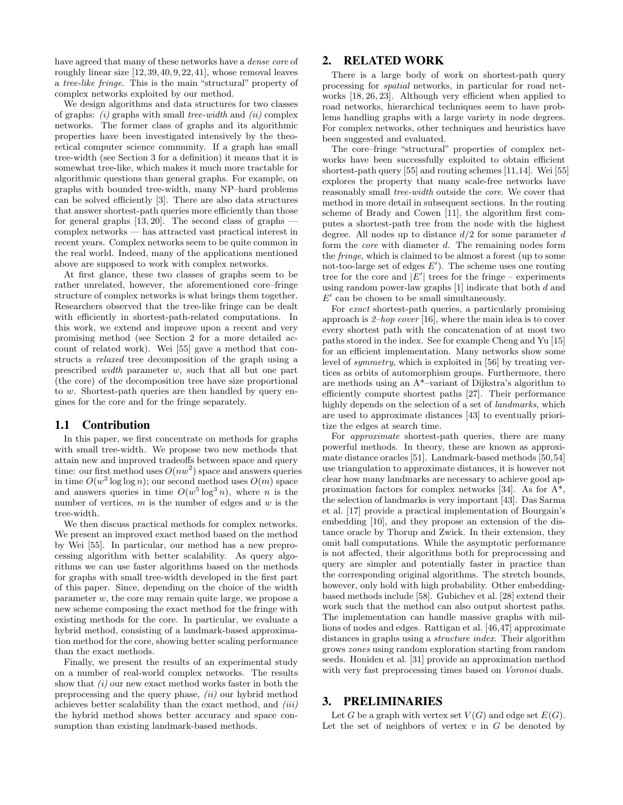have agreed that many of these networks have a *dense core* of roughly linear size [12, 39, 40, 9, 22, 41], whose removal leaves a *tree-like fringe*. This is the main "structural" property of complex networks exploited by our method.

We design algorithms and data structures for two classes of graphs: *(i)* graphs with small *tree-width* and *(ii)* complex networks. The former class of graphs and its algorithmic properties have been investigated intensively by the theoretical computer science community. If a graph has small tree-width (see Section 3 for a definition) it means that it is somewhat tree-like, which makes it much more tractable for algorithmic questions than general graphs. For example, on graphs with bounded tree-width, many NP–hard problems can be solved efficiently [3]. There are also data structures that answer shortest-path queries more efficiently than those for general graphs  $[13, 20]$ . The second class of graphs  $$ complex networks — has attracted vast practical interest in recent years. Complex networks seem to be quite common in the real world. Indeed, many of the applications mentioned above are supposed to work with complex networks.

At first glance, these two classes of graphs seem to be rather unrelated, however, the aforementioned core–fringe structure of complex networks is what brings them together. Researchers observed that the tree-like fringe can be dealt with efficiently in shortest-path-related computations. In this work, we extend and improve upon a recent and very promising method (see Section 2 for a more detailed account of related work). Wei [55] gave a method that constructs a *relaxed* tree decomposition of the graph using a prescribed *width* parameter *w*, such that all but one part (the core) of the decomposition tree have size proportional to *w*. Shortest-path queries are then handled by query engines for the core and for the fringe separately.

## 1.1 Contribution

In this paper, we first concentrate on methods for graphs with small tree-width. We propose two new methods that attain new and improved tradeoffs between space and query time: our first method uses  $O(nw^2)$  space and answers queries in time  $O(w^2 \log \log n)$ ; our second method uses  $O(m)$  space and answers queries in time  $O(w^5 \log^3 n)$ , where *n* is the number of vertices, *m* is the number of edges and *w* is the tree-width.

We then discuss practical methods for complex networks. We present an improved exact method based on the method by Wei [55]. In particular, our method has a new preprocessing algorithm with better scalability. As query algorithms we can use faster algorithms based on the methods for graphs with small tree-width developed in the first part of this paper. Since, depending on the choice of the width parameter *w*, the core may remain quite large, we propose a new scheme composing the exact method for the fringe with existing methods for the core. In particular, we evaluate a hybrid method, consisting of a landmark-based approximation method for the core, showing better scaling performance than the exact methods.

Finally, we present the results of an experimental study on a number of real-world complex networks. The results show that *(i)* our new exact method works faster in both the preprocessing and the query phase, *(ii)* our hybrid method achieves better scalability than the exact method, and *(iii)* the hybrid method shows better accuracy and space consumption than existing landmark-based methods.

## 2. RELATED WORK

There is a large body of work on shortest-path query processing for *spatial* networks, in particular for road networks [18, 26, 23]. Although very efficient when applied to road networks, hierarchical techniques seem to have problems handling graphs with a large variety in node degrees. For complex networks, other techniques and heuristics have been suggested and evaluated.

The core–fringe "structural" properties of complex networks have been successfully exploited to obtain efficient shortest-path query [55] and routing schemes [11,14]. Wei [55] explores the property that many scale-free networks have reasonably small *tree-width* outside the *core*. We cover that method in more detail in subsequent sections. In the routing scheme of Brady and Cowen [11], the algorithm first computes a shortest-path tree from the node with the highest degree. All nodes up to distance *d/*2 for some parameter *d* form the *core* with diameter *d*. The remaining nodes form the *fringe*, which is claimed to be almost a forest (up to some not-too-large set of edges  $E'$ ). The scheme uses one routing tree for the core and  $|E'|$  trees for the fringe – experiments using random power-law graphs [1] indicate that both *d* and  $E'$  can be chosen to be small simultaneously.

For *exact* shortest-path queries, a particularly promising approach is *2–hop cover* [16], where the main idea is to cover every shortest path with the concatenation of at most two paths stored in the index. See for example Cheng and Yu [15] for an efficient implementation. Many networks show some level of *symmetry*, which is exploited in [56] by treating vertices as orbits of automorphism groups. Furthermore, there are methods using an A\*–variant of Dijkstra's algorithm to efficiently compute shortest paths [27]. Their performance highly depends on the selection of a set of *landmarks*, which are used to approximate distances [43] to eventually prioritize the edges at search time.

For *approximate* shortest-path queries, there are many powerful methods. In theory, these are known as approximate distance oracles [51]. Landmark-based methods [50,54] use triangulation to approximate distances, it is however not clear how many landmarks are necessary to achieve good approximation factors for complex networks [34]. As for A\*, the selection of landmarks is very important [43]. Das Sarma et al. [17] provide a practical implementation of Bourgain's embedding [10], and they propose an extension of the distance oracle by Thorup and Zwick. In their extension, they omit ball computations. While the asymptotic performance is not affected, their algorithms both for preprocessing and query are simpler and potentially faster in practice than the corresponding original algorithms. The stretch bounds, however, only hold with high probability. Other embeddingbased methods include [58]. Gubichev et al. [28] extend their work such that the method can also output shortest paths. The implementation can handle massive graphs with millions of nodes and edges. Rattigan et al. [46,47] approximate distances in graphs using a *structure index*. Their algorithm grows *zones* using random exploration starting from random seeds. Honiden et al. [31] provide an approximation method with very fast preprocessing times based on *Voronoi* duals.

## 3. PRELIMINARIES

Let *G* be a graph with vertex set  $V(G)$  and edge set  $E(G)$ . Let the set of neighbors of vertex  $v$  in  $G$  be denoted by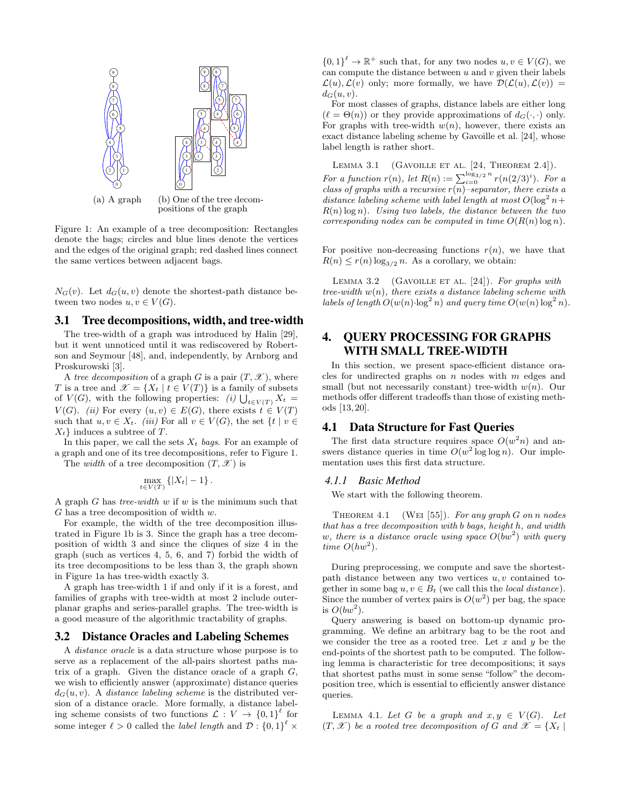

Figure 1: An example of a tree decomposition: Rectangles denote the bags; circles and blue lines denote the vertices and the edges of the original graph; red dashed lines connect the same vertices between adjacent bags.

 $N_G(v)$ . Let  $d_G(u, v)$  denote the shortest-path distance between two nodes  $u, v \in V(G)$ .

## 3.1 Tree decompositions, width, and tree-width

The tree-width of a graph was introduced by Halin [29], but it went unnoticed until it was rediscovered by Robertson and Seymour [48], and, independently, by Arnborg and Proskurowski [3].

A *tree decomposition* of a graph *G* is a pair  $(T, \mathcal{X})$ , where *T* is a tree and  $\mathscr{X} = \{X_t | t \in V(T)\}\$ is a family of subsets of  $V(G)$ , with the following properties: *(i)*  $\bigcup_{t \in V(T)} X_t =$ *V*(*G*). *(ii)* For every  $(u, v) \in E(G)$ , there exists  $t \in V(T)$ such that  $u, v \in X_t$ . *(iii)* For all  $v \in V(G)$ , the set  $\{t \mid v \in$ *Xt}* induces a subtree of *T*.

In this paper, we call the sets *X<sup>t</sup> bags*. For an example of a graph and one of its tree decompositions, refer to Figure 1.

The *width* of a tree decomposition  $(T, \mathcal{X})$  is

$$
\max_{t \in V(T)} \left\{ |X_t| - 1 \right\}.
$$

A graph *G* has *tree-width w* if *w* is the minimum such that *G* has a tree decomposition of width *w*.

For example, the width of the tree decomposition illustrated in Figure 1b is 3. Since the graph has a tree decomposition of width 3 and since the cliques of size 4 in the graph (such as vertices 4, 5, 6, and 7) forbid the width of its tree decompositions to be less than 3, the graph shown in Figure 1a has tree-width exactly 3.

A graph has tree-width 1 if and only if it is a forest, and families of graphs with tree-width at most 2 include outerplanar graphs and series-parallel graphs. The tree-width is a good measure of the algorithmic tractability of graphs.

## 3.2 Distance Oracles and Labeling Schemes

A *distance oracle* is a data structure whose purpose is to serve as a replacement of the all-pairs shortest paths matrix of a graph. Given the distance oracle of a graph *G*, we wish to efficiently answer (approximate) distance queries  $d_G(u, v)$ . A *distance labeling scheme* is the distributed version of a distance oracle. More formally, a distance labeling scheme consists of two functions  $\mathcal{L}: V \to \{0,1\}^{\ell}$  for some integer  $\ell > 0$  called the *label length* and  $\mathcal{D}$  :  $\{0,1\}^{\ell} \times$ 

 $\{0,1\}^{\ell} \to \mathbb{R}^+$  such that, for any two nodes  $u, v \in V(G)$ , we can compute the distance between *u* and *v* given their labels  $\mathcal{L}(u)$ ,  $\mathcal{L}(v)$  only; more formally, we have  $\mathcal{D}(\mathcal{L}(u), \mathcal{L}(v)) =$  $d_G(u, v)$ .

For most classes of graphs, distance labels are either long  $(\ell = \Theta(n))$  or they provide approximations of  $d_G(\cdot, \cdot)$  only. For graphs with tree-width  $w(n)$ , however, there exists an exact distance labeling scheme by Gavoille et al. [24], whose label length is rather short.

LEMMA 3.1 (GAVOILLE ET AL.  $[24,$  THEOREM 2.4]). *For a function*  $r(n)$ *, let*  $R(n) := \sum_{i=0}^{\log_{3}/2} {n \choose i}$   $r(n(2/3)^{i})$ *. For a class of graphs with a recursive r*(*n*)*–separator, there exists a distance labeling scheme with label length at most*  $O(\log^2 n +$ *R*(*n*) log *n*)*. Using two labels, the distance between the two corresponding nodes can be computed in time*  $O(R(n) \log n)$ *.* 

For positive non-decreasing functions  $r(n)$ , we have that  $R(n) \leq r(n) \log_{3/2} n$ . As a corollary, we obtain:

LEMMA 3.2 (GAVOILLE ET AL. [24]). For graphs with *tree-width w*(*n*)*, there exists a distance labeling scheme with labels of length*  $O(w(n) \cdot \log^2 n)$  *and query time*  $O(w(n) \log^2 n)$ *.* 

# 4. QUERY PROCESSING FOR GRAPHS WITH SMALL TREE-WIDTH

In this section, we present space-efficient distance oracles for undirected graphs on *n* nodes with *m* edges and small (but not necessarily constant) tree-width *w*(*n*). Our methods offer different tradeoffs than those of existing methods [13, 20].

# 4.1 Data Structure for Fast Queries

The first data structure requires space  $O(w^2n)$  and answers distance queries in time  $O(w^2 \log \log n)$ . Our implementation uses this first data structure.

### *4.1.1 Basic Method*

We start with the following theorem.

Theorem 4.1 (Wei [55]). *For any graph G on n nodes that has a tree decomposition with b bags, height h, and width w, there is a distance oracle using space O*(*bw*<sup>2</sup> ) *with query time*  $O(hw^2)$ *.* 

During preprocessing, we compute and save the shortestpath distance between any two vertices *u, v* contained together in some bag  $u, v \in B_t$  (we call this the *local distance*). Since the number of vertex pairs is  $O(w^2)$  per bag, the space is  $O(bw^2)$ .

Query answering is based on bottom-up dynamic programming. We define an arbitrary bag to be the root and we consider the tree as a rooted tree. Let *x* and *y* be the end-points of the shortest path to be computed. The following lemma is characteristic for tree decompositions; it says that shortest paths must in some sense "follow" the decomposition tree, which is essential to efficiently answer distance queries.

LEMMA 4.1. Let *G* be a graph and  $x, y \in V(G)$ . Let  $(T, \mathcal{X})$  be a rooted tree decomposition of G and  $\mathcal{X} = \{X_t | t\}$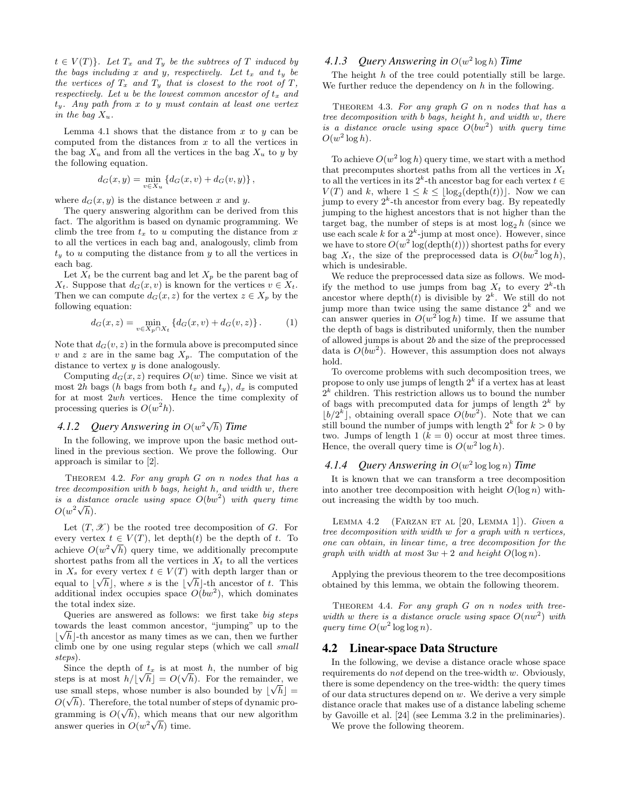$t \in V(T)$ *}. Let*  $T_x$  *and*  $T_y$  *be the subtrees of T induced by the bags including x and y, respectively. Let t<sup>x</sup> and t<sup>y</sup> be the vertices of*  $T_x$  *and*  $T_y$  *that is closest to the root of*  $T$ *, respectively. Let u be the lowest common ancestor of t<sup>x</sup> and ty. Any path from x to y must contain at least one vertex in the bag*  $X_u$ *.* 

Lemma 4.1 shows that the distance from  $x$  to  $y$  can be computed from the distances from *x* to all the vertices in the bag  $X_u$  and from all the vertices in the bag  $X_u$  to *y* by the following equation.

$$
d_G(x,y) = \min_{v \in X_u} \{ d_G(x,v) + d_G(v,y) \},\,
$$

where  $d_G(x, y)$  is the distance between x and y.

The query answering algorithm can be derived from this fact. The algorithm is based on dynamic programming. We climb the tree from *t<sup>x</sup>* to *u* computing the distance from *x* to all the vertices in each bag and, analogously, climb from  $t<sub>y</sub>$  to *u* computing the distance from *y* to all the vertices in each bag.

Let  $X_t$  be the current bag and let  $X_p$  be the parent bag of *X*<sup>t</sup>. Suppose that  $d_G(x, v)$  is known for the vertices  $v \in X_t$ . Then we can compute  $d_G(x, z)$  for the vertex  $z \in X_p$  by the following equation:

$$
d_G(x, z) = \min_{v \in X_p \cap X_t} \{ d_G(x, v) + d_G(v, z) \}.
$$
 (1)

Note that  $d_G(v, z)$  in the formula above is precomputed since *v* and *z* are in the same bag  $X_p$ . The computation of the distance to vertex *y* is done analogously.

Computing  $d_G(x, z)$  requires  $O(w)$  time. Since we visit at most 2*h* bags (*h* bags from both  $t_x$  and  $t_y$ ),  $d_x$  is computed for at most 2*wh* vertices. Hence the time complexity of processing queries is  $O(w^2 h)$ .

# *4.1.2 Query Answering in O*(*w* 2*√ h*) *Time*

In the following, we improve upon the basic method outlined in the previous section. We prove the following. Our approach is similar to [2].

Theorem 4.2. *For any graph G on n nodes that has a tree decomposition with b bags, height h, and width w, there is a distance oracle using space O*(*bw*<sup>2</sup> ) *with query time*  $O(w^2\sqrt{h}).$ 

Let  $(T, \mathscr{X})$  be the rooted tree decomposition of *G*. For every vertex  $t \in V(T)$ , let depth $(t)$  be the depth of  $t$ . To achieve  $O(w^2\sqrt{h})$  query time, we additionally precompute shortest paths from all the vertices in  $X_t$  to all the vertices in  $X_s$  for every vertex  $t \in V(T)$  with depth larger than or equal to  $\lfloor \sqrt{h} \rfloor$ , where *s* is the  $\lfloor \sqrt{h} \rfloor$ -th ancestor of *t*. This additional index occupies space  $O(bw^2)$ , which dominates the total index size.

Queries are answered as follows: we first take *big steps* towards the least common ancestor, "jumping" up to the *√*  $\lfloor \sqrt{h} \rfloor$ -th ancestor as many times as we can, then we further climb one by one using regular steps (which we call *small steps*).

Since the depth of  $t_x$  is at most *h*, the number of big steps is at most  $h/[\sqrt{h}] = O(\sqrt{h})$ . For the remainder, we use small steps, whose number is also bounded by  $\lfloor \sqrt{h} \rfloor =$  $O(\sqrt{h})$ . Therefore, the total number of steps of dynamic programming is  $O(\sqrt{h})$ , which means that our new algorithm answer queries in  $O(w^2\sqrt{h})$  time.

## *4.1.3 Query Answering in O*(*w* 2 log *h*) *Time*

The height *h* of the tree could potentially still be large. We further reduce the dependency on *h* in the following.

Theorem 4.3. *For any graph G on n nodes that has a tree decomposition with b bags, height h, and width w, there is a distance oracle using space O*(*bw*<sup>2</sup> ) *with query time*  $O(w^2 \log h)$ .

To achieve  $O(w^2 \log h)$  query time, we start with a method that precomputes shortest paths from all the vertices in  $X_t$ to all the vertices in its  $2^k$ -th ancestor bag for each vertex  $t \in$  $V(T)$  and *k*, where  $1 \leq k \leq \lfloor \log_2(\text{depth}(t)) \rfloor$ . Now we can jump to every  $2^k$ -th ancestor from every bag. By repeatedly jumping to the highest ancestors that is not higher than the target bag, the number of steps is at most  $log_2 h$  (since we use each scale  $k$  for a  $2^k$ -jump at most once). However, since we have to store  $O(w^2 \log(\text{depth}(t)))$  shortest paths for every bag  $X_t$ , the size of the preprocessed data is  $O(bw^2 \log h)$ , which is undesirable.

We reduce the preprocessed data size as follows. We modify the method to use jumps from bag  $X_t$  to every  $2^k$ -th ancestor where depth $(t)$  is divisible by  $2<sup>k</sup>$ . We still do not jump more than twice using the same distance  $2^k$  and we can answer queries in  $O(w^2 \log h)$  time. If we assume that the depth of bags is distributed uniformly, then the number of allowed jumps is about 2*b* and the size of the preprocessed data is  $O(bw^2)$ . However, this assumption does not always hold.

To overcome problems with such decomposition trees, we propose to only use jumps of length 2*<sup>k</sup>* if a vertex has at least  $2<sup>k</sup>$  children. This restriction allows us to bound the number of bags with precomputed data for jumps of length  $2^k$  by  $\lfloor b/2^k \rfloor$ , obtaining overall space  $O(bw^2)$ . Note that we can still bound the number of jumps with length  $2^k$  for  $k > 0$  by two. Jumps of length 1  $(k = 0)$  occur at most three times. Hence, the overall query time is  $O(w^2 \log h)$ .

## *4.1.4 Query Answering in O*(*w* 2 log log *n*) *Time*

It is known that we can transform a tree decomposition into another tree decomposition with height  $O(\log n)$  without increasing the width by too much.

Lemma 4.2 (Farzan et al [20, Lemma 1]). *Given a tree decomposition with width w for a graph with n vertices, one can obtain, in linear time, a tree decomposition for the graph with width at most*  $3w + 2$  *and height*  $O(\log n)$ *.* 

Applying the previous theorem to the tree decompositions obtained by this lemma, we obtain the following theorem.

Theorem 4.4. *For any graph G on n nodes with treewidth w there is a distance oracle using space*  $O(nw^2)$  *with query time*  $O(w^2 \log \log n)$ *.* 

## 4.2 Linear-space Data Structure

In the following, we devise a distance oracle whose space requirements do *not* depend on the tree-width *w*. Obviously, there is some dependency on the tree-width: the query times of our data structures depend on *w*. We derive a very simple distance oracle that makes use of a distance labeling scheme by Gavoille et al. [24] (see Lemma 3.2 in the preliminaries).

We prove the following theorem.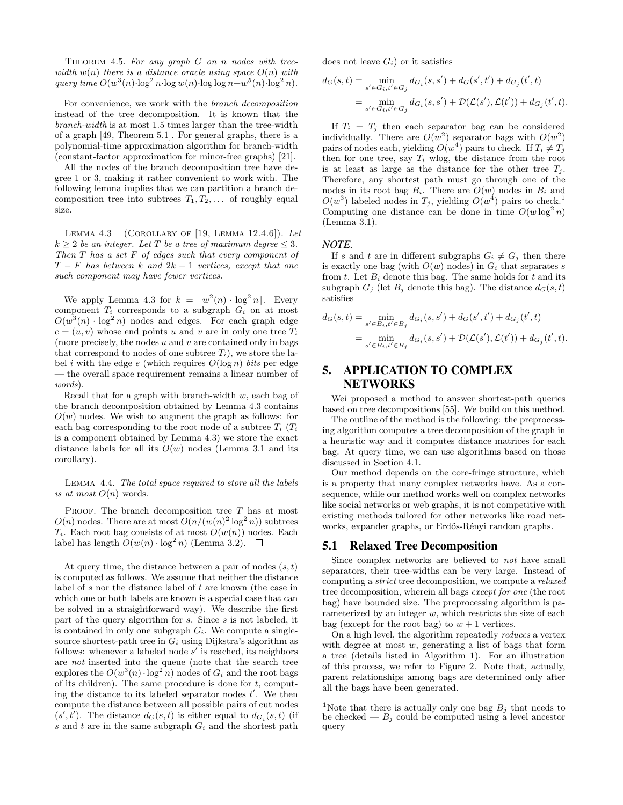Theorem 4.5. *For any graph G on n nodes with tree* $width \ w(n) \ there is a distance oracle using space \ O(n) \ with$ *query time*  $O(w^3(n) \cdot \log^2 n \cdot \log w(n) \cdot \log \log n + w^5(n) \cdot \log^2 n)$ .

For convenience, we work with the *branch decomposition* instead of the tree decomposition. It is known that the *branch-width* is at most 1.5 times larger than the tree-width of a graph [49, Theorem 5.1]. For general graphs, there is a polynomial-time approximation algorithm for branch-width (constant-factor approximation for minor-free graphs) [21].

All the nodes of the branch decomposition tree have degree 1 or 3, making it rather convenient to work with. The following lemma implies that we can partition a branch decomposition tree into subtrees  $T_1, T_2, \ldots$  of roughly equal size.

Lemma 4.3 (Corollary of [19, Lemma 12.4.6]). *Let*  $k \geq 2$  *be an integer. Let T be a tree of maximum degree*  $\leq 3$ *. Then T has a set F of edges such that every component of T − F has between k and* 2*k −* 1 *vertices, except that one such component may have fewer vertices.*

We apply Lemma 4.3 for  $k = \lfloor w^2(n) \cdot \log^2 n \rfloor$ . Every component  $T_i$  corresponds to a subgraph  $G_i$  on at most  $O(w^3(n) \cdot \log^2 n)$  nodes and edges. For each graph edge  $e = (u, v)$  whose end points *u* and *v* are in only one tree  $T_i$ (more precisely, the nodes *u* and *v* are contained only in bags that correspond to nodes of one subtree  $T_i$ ), we store the label *i* with the edge *e* (which requires *O*(log *n*) *bits* per edge — the overall space requirement remains a linear number of *words*).

Recall that for a graph with branch-width *w*, each bag of the branch decomposition obtained by Lemma 4.3 contains  $O(w)$  nodes. We wish to augment the graph as follows: for each bag corresponding to the root node of a subtree  $T_i$  ( $T_i$ is a component obtained by Lemma 4.3) we store the exact distance labels for all its  $O(w)$  nodes (Lemma 3.1 and its corollary).

Lemma 4.4. *The total space required to store all the labels is at most*  $O(n)$  words.

PROOF. The branch decomposition tree *T* has at most  $O(n)$  nodes. There are at most  $O(n/(w(n)^2 \log^2 n))$  subtrees  $T_i$ . Each root bag consists of at most  $O(w(n))$  nodes. Each label has length  $O(w(n) \cdot \log^2 n)$  (Lemma 3.2).  $\square$ 

At query time, the distance between a pair of nodes (*s, t*) is computed as follows. We assume that neither the distance label of *s* nor the distance label of *t* are known (the case in which one or both labels are known is a special case that can be solved in a straightforward way). We describe the first part of the query algorithm for *s*. Since *s* is not labeled, it is contained in only one subgraph  $G_i$ . We compute a singlesource shortest-path tree in  $G_i$  using Dijkstra's algorithm as follows: whenever a labeled node s' is reached, its neighbors are *not* inserted into the queue (note that the search tree explores the  $O(w^3(n) \cdot \log^2 n)$  nodes of  $G_i$  and the root bags of its children). The same procedure is done for *t*, computing the distance to its labeled separator nodes  $t'$ . We then compute the distance between all possible pairs of cut nodes  $(s', t')$ . The distance  $d_G(s, t)$  is either equal to  $d_{G_i}(s, t)$  (if *s* and *t* are in the same subgraph *G<sup>i</sup>* and the shortest path does not leave  $G_i$  or it satisfies

$$
d_G(s,t) = \min_{s' \in G_i, t' \in G_j} d_{G_i}(s, s') + d_G(s', t') + d_{G_j}(t', t)
$$
  
= 
$$
\min_{s' \in G_i, t' \in G_j} d_{G_i}(s, s') + \mathcal{D}(\mathcal{L}(s'), \mathcal{L}(t')) + d_{G_j}(t', t).
$$

If  $T_i = T_j$  then each separator bag can be considered individually. There are  $O(w^2)$  separator bags with  $O(w^2)$ pairs of nodes each, yielding  $O(w^4)$  pairs to check. If  $T_i \neq T_j$ then for one tree, say  $T_i$  wlog, the distance from the root is at least as large as the distance for the other tree  $T_i$ . Therefore, any shortest path must go through one of the nodes in its root bag  $B_i$ . There are  $O(w)$  nodes in  $B_i$  and  $O(w^3)$  labeled nodes in  $T_j$ , yielding  $O(w^4)$  pairs to check.<sup>1</sup> Computing one distance can be done in time  $O(w \log^2 n)$ (Lemma 3.1).

#### *NOTE.*

If *s* and *t* are in different subgraphs  $G_i \neq G_j$  then there is exactly one bag (with  $O(w)$  nodes) in  $G_i$  that separates *s* from  $t$ . Let  $B_i$  denote this bag. The same holds for  $t$  and its subgraph  $G_i$  (let  $B_i$  denote this bag). The distance  $d_G(s,t)$ satisfies

$$
d_G(s,t) = \min_{s' \in B_i, t' \in B_j} d_{G_i}(s,s') + d_G(s',t') + d_{G_j}(t',t)
$$
  
= 
$$
\min_{s' \in B_i, t' \in B_j} d_{G_i}(s,s') + \mathcal{D}(\mathcal{L}(s'), \mathcal{L}(t')) + d_{G_j}(t',t).
$$

# 5. APPLICATION TO COMPLEX NETWORKS

Wei proposed a method to answer shortest-path queries based on tree decompositions [55]. We build on this method.

The outline of the method is the following: the preprocessing algorithm computes a tree decomposition of the graph in a heuristic way and it computes distance matrices for each bag. At query time, we can use algorithms based on those discussed in Section 4.1.

Our method depends on the core-fringe structure, which is a property that many complex networks have. As a consequence, while our method works well on complex networks like social networks or web graphs, it is not competitive with existing methods tailored for other networks like road networks, expander graphs, or Erdős-Rényi random graphs.

#### 5.1 Relaxed Tree Decomposition

Since complex networks are believed to *not* have small separators, their tree-widths can be very large. Instead of computing a *strict* tree decomposition, we compute a *relaxed* tree decomposition, wherein all bags *except for one* (the root bag) have bounded size. The preprocessing algorithm is parameterized by an integer *w*, which restricts the size of each bag (except for the root bag) to  $w + 1$  vertices.

On a high level, the algorithm repeatedly *reduces* a vertex with degree at most *w*, generating a list of bags that form a tree (details listed in Algorithm 1). For an illustration of this process, we refer to Figure 2. Note that, actually, parent relationships among bags are determined only after all the bags have been generated.

<sup>&</sup>lt;sup>1</sup>Note that there is actually only one bag  $B_j$  that needs to be checked —  $B_j$  could be computed using a level ancestor query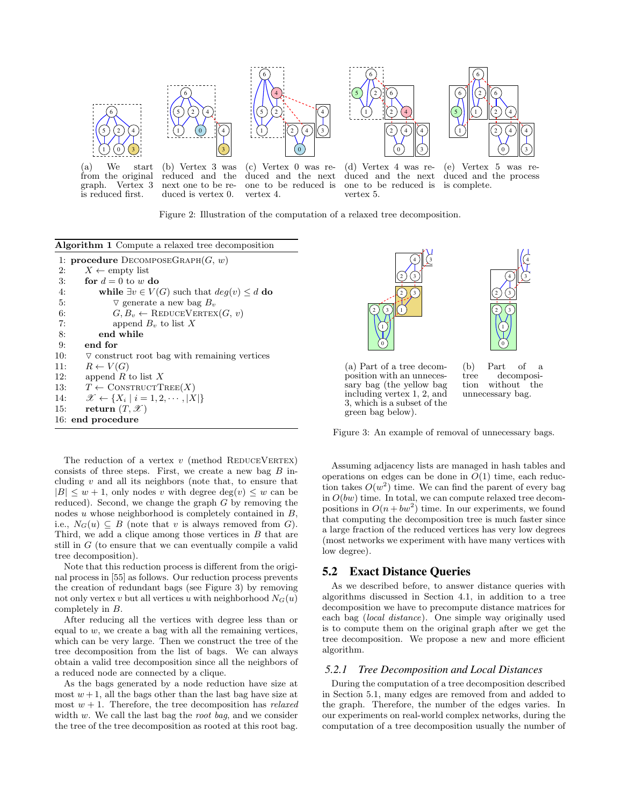

from the original graph. Vertex 3 is reduced first.

reduced and the next one to be reduced is vertex 0.

duced and the next one to be reduced is vertex 4.

duced and the next of one to be reduced is vertex 5.

(e) Vertex 5 was reduced and the process is complete.

3) | | 4)

9 10



| <b>Algorithm 1</b> Compute a relaxed tree decomposition            |
|--------------------------------------------------------------------|
| 1: <b>procedure</b> DECOMPOSEGRAPH $(G, w)$                        |
| $X \leftarrow \text{empty list}$<br>2:                             |
| for $d=0$ to w do<br>3:                                            |
| while $\exists v \in V(G)$ such that $deg(v) \leq d$ do<br>4:      |
| $\triangledown$ generate a new bag $B_v$<br>5:                     |
| $G, B_v \leftarrow \text{REDUCEVERTEX}(G, v)$<br>6:                |
| 7:<br>append $B_v$ to list X                                       |
| end while<br>8:                                                    |
| end for<br>9:                                                      |
| 10:<br>$\triangledown$ construct root bag with remaining vertices  |
| $R \leftarrow V(G)$<br>11:                                         |
| append R to list X<br>12:                                          |
| $T \leftarrow \text{CONTRUCTTREE}(X)$<br>13:                       |
| $\mathscr{X} \leftarrow \{X_i \mid i = 1, 2, \cdots,  X \}$<br>14: |
| return $(T, \mathscr{X})$<br>15:                                   |
| 16: end procedure                                                  |

The reduction of a vertex  $v$  (method REDUCEVERTEX) consists of three steps. First, we create a new bag *B* including *v* and all its neighbors (note that, to ensure that  $|B| \leq w + 1$ , only nodes *v* with degree deg(*v*)  $\leq w$  can be reduced). Second, we change the graph *G* by removing the nodes *u* whose neighborhood is completely contained in *B*, i.e.,  $N_G(u) \subseteq B$  (note that *v* is always removed from *G*). Third, we add a clique among those vertices in *B* that are still in *G* (to ensure that we can eventually compile a valid tree decomposition).

Note that this reduction process is different from the original process in [55] as follows. Our reduction process prevents the creation of redundant bags (see Figure 3) by removing not only vertex *v* but all vertices *u* with neighborhood  $N_G(u)$ completely in *B*.

After reducing all the vertices with degree less than or equal to  $w$ , we create a bag with all the remaining vertices, which can be very large. Then we construct the tree of the tree decomposition from the list of bags. We can always obtain a valid tree decomposition since all the neighbors of a reduced node are connected by a clique.

As the bags generated by a node reduction have size at most  $w + 1$ , all the bags other than the last bag have size at most  $w + 1$ . Therefore, the tree decomposition has *relaxed* width *w*. We call the last bag the *root bag*, and we consider the tree of the tree decomposition as rooted at this root bag.





(a) Part of a tree decomposition with an unnecessary bag (the yellow bag including vertex 1, 2, and 3, which is a subset of the green bag below).

(b) Part of a tree decomposition without the unnecessary bag.

Figure 3: An example of removal of unnecessary bags.

Assuming adjacency lists are managed in hash tables and operations on edges can be done in  $O(1)$  time, each reduction takes  $O(w^2)$  time. We can find the parent of every bag in *O*(*bw*) time. In total, we can compute relaxed tree decompositions in  $O(n + bw^2)$  time. In our experiments, we found that computing the decomposition tree is much faster since a large fraction of the reduced vertices has very low degrees (most networks we experiment with have many vertices with low degree).

## 5.2 Exact Distance Queries

As we described before, to answer distance queries with algorithms discussed in Section 4.1, in addition to a tree decomposition we have to precompute distance matrices for each bag (*local distance*). One simple way originally used is to compute them on the original graph after we get the tree decomposition. We propose a new and more efficient algorithm.

#### *5.2.1 Tree Decomposition and Local Distances*

During the computation of a tree decomposition described in Section 5.1, many edges are removed from and added to the graph. Therefore, the number of the edges varies. In our experiments on real-world complex networks, during the computation of a tree decomposition usually the number of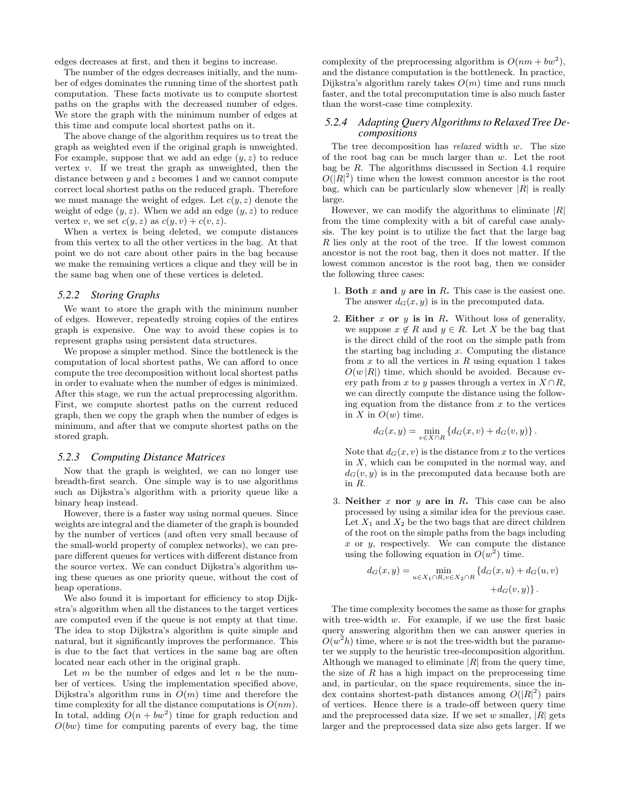edges decreases at first, and then it begins to increase.

The number of the edges decreases initially, and the number of edges dominates the running time of the shortest path computation. These facts motivate us to compute shortest paths on the graphs with the decreased number of edges. We store the graph with the minimum number of edges at this time and compute local shortest paths on it.

The above change of the algorithm requires us to treat the graph as weighted even if the original graph is unweighted. For example, suppose that we add an edge (*y, z*) to reduce vertex *v*. If we treat the graph as unweighted, then the distance between *y* and *z* becomes 1 and we cannot compute correct local shortest paths on the reduced graph. Therefore we must manage the weight of edges. Let  $c(y, z)$  denote the weight of edge  $(y, z)$ . When we add an edge  $(y, z)$  to reduce vertex *v*, we set  $c(y, z)$  as  $c(y, v) + c(v, z)$ .

When a vertex is being deleted, we compute distances from this vertex to all the other vertices in the bag. At that point we do not care about other pairs in the bag because we make the remaining vertices a clique and they will be in the same bag when one of these vertices is deleted.

#### *5.2.2 Storing Graphs*

We want to store the graph with the minimum number of edges. However, repeatedly stroing copies of the entires graph is expensive. One way to avoid these copies is to represent graphs using persistent data structures.

We propose a simpler method. Since the bottleneck is the computation of local shortest paths, We can afford to once compute the tree decomposition without local shortest paths in order to evaluate when the number of edges is minimized. After this stage, we run the actual preprocessing algorithm. First, we compute shortest paths on the current reduced graph, then we copy the graph when the number of edges is minimum, and after that we compute shortest paths on the stored graph.

#### *5.2.3 Computing Distance Matrices*

Now that the graph is weighted, we can no longer use breadth-first search. One simple way is to use algorithms such as Dijkstra's algorithm with a priority queue like a binary heap instead.

However, there is a faster way using normal queues. Since weights are integral and the diameter of the graph is bounded by the number of vertices (and often very small because of the small-world property of complex networks), we can prepare different queues for vertices with different distance from the source vertex. We can conduct Dijkstra's algorithm using these queues as one priority queue, without the cost of heap operations.

We also found it is important for efficiency to stop Dijkstra's algorithm when all the distances to the target vertices are computed even if the queue is not empty at that time. The idea to stop Dijkstra's algorithm is quite simple and natural, but it significantly improves the performance. This is due to the fact that vertices in the same bag are often located near each other in the original graph.

Let *m* be the number of edges and let *n* be the number of vertices. Using the implementation specified above, Dijkstra's algorithm runs in *O*(*m*) time and therefore the time complexity for all the distance computations is  $O(nm)$ . In total, adding  $O(n + bw^2)$  time for graph reduction and  $O(bw)$  time for computing parents of every bag, the time

complexity of the preprocessing algorithm is  $O(nm + bw^2)$ , and the distance computation is the bottleneck. In practice, Dijkstra's algorithm rarely takes *O*(*m*) time and runs much faster, and the total precomputation time is also much faster than the worst-case time complexity.

#### *5.2.4 Adapting Query Algorithms to Relaxed Tree Decompositions*

The tree decomposition has *relaxed* width *w*. The size of the root bag can be much larger than *w*. Let the root bag be *R*. The algorithms discussed in Section 4.1 require  $O(|R|^2)$  time when the lowest common ancestor is the root bag, which can be particularly slow whenever  $|R|$  is really large.

However, we can modify the algorithms to eliminate *|R|* from the time complexity with a bit of careful case analysis. The key point is to utilize the fact that the large bag *R* lies only at the root of the tree. If the lowest common ancestor is not the root bag, then it does not matter. If the lowest common ancestor is the root bag, then we consider the following three cases:

- 1. **Both** *x* **and** *y* **are in** *R***.** This case is the easiest one. The answer  $d_G(x, y)$  is in the precomputed data.
- 2. **Either** *x* **or** *y* **is in** *R***.** Without loss of generality, we suppose  $x \notin R$  and  $y \in R$ . Let X be the bag that is the direct child of the root on the simple path from the starting bag including *x*. Computing the distance from  $x$  to all the vertices in  $R$  using equation 1 takes  $O(w |R|)$  time, which should be avoided. Because every path from *x* to *y* passes through a vertex in  $X \cap R$ , we can directly compute the distance using the following equation from the distance from *x* to the vertices in  $X$  in  $O(w)$  time.

$$
d_G(x,y) = \min_{v \in X \cap R} \{d_G(x,v) + d_G(v,y)\}.
$$

Note that  $d_G(x, v)$  is the distance from x to the vertices in *X*, which can be computed in the normal way, and  $d_G(v, y)$  is in the precomputed data because both are in *R*.

3. **Neither** *x* **nor** *y* **are in** *R***.** This case can be also processed by using a similar idea for the previous case. Let  $X_1$  and  $X_2$  be the two bags that are direct children of the root on the simple paths from the bags including *x* or *y*, respectively. We can compute the distance using the following equation in  $O(w^2)$  time.

$$
d_G(x,y) = \min_{u \in X_1 \cap R, v \in X_2 \cap R} \left\{ d_G(x,u) + d_G(u,v) + d_G(v,y) \right\}.
$$

The time complexity becomes the same as those for graphs with tree-width *w*. For example, if we use the first basic query answering algorithm then we can answer queries in  $O(w^2h)$  time, where *w* is not the tree-width but the parameter we supply to the heuristic tree-decomposition algorithm. Although we managed to eliminate  $|R|$  from the query time, the size of *R* has a high impact on the preprocessing time and, in particular, on the space requirements, since the index contains shortest-path distances among  $O(|R|^2)$  pairs of vertices. Hence there is a trade-off between query time and the preprocessed data size. If we set *w* smaller, *|R|* gets larger and the preprocessed data size also gets larger. If we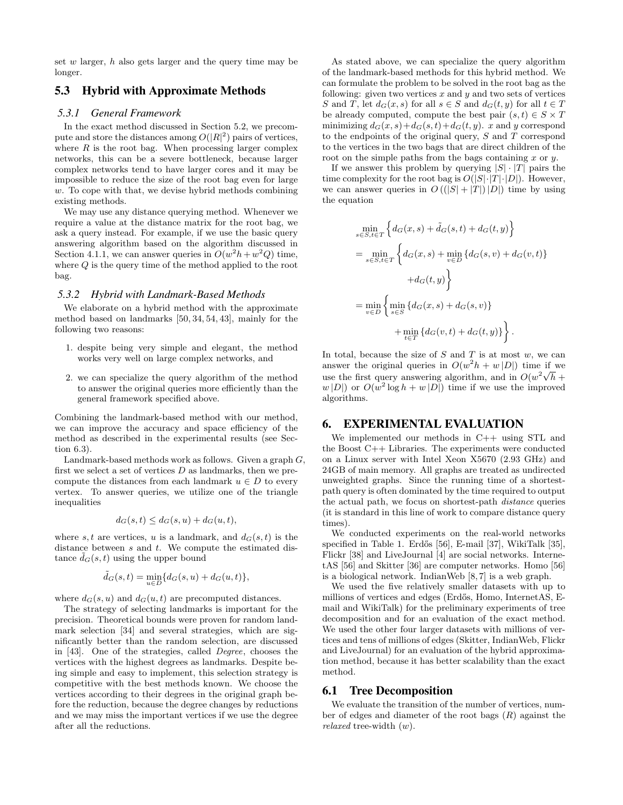set *w* larger, *h* also gets larger and the query time may be longer.

## 5.3 Hybrid with Approximate Methods

#### *5.3.1 General Framework*

In the exact method discussed in Section 5.2, we precompute and store the distances among  $O(|R|^2)$  pairs of vertices, where  $R$  is the root bag. When processing larger complex networks, this can be a severe bottleneck, because larger complex networks tend to have larger cores and it may be impossible to reduce the size of the root bag even for large *w*. To cope with that, we devise hybrid methods combining existing methods.

We may use any distance querying method. Whenever we require a value at the distance matrix for the root bag, we ask a query instead. For example, if we use the basic query answering algorithm based on the algorithm discussed in Section 4.1.1, we can answer queries in  $O(w^2h + w^2Q)$  time, where *Q* is the query time of the method applied to the root bag.

#### *5.3.2 Hybrid with Landmark-Based Methods*

We elaborate on a hybrid method with the approximate method based on landmarks [50, 34, 54, 43], mainly for the following two reasons:

- 1. despite being very simple and elegant, the method works very well on large complex networks, and
- 2. we can specialize the query algorithm of the method to answer the original queries more efficiently than the general framework specified above.

Combining the landmark-based method with our method, we can improve the accuracy and space efficiency of the method as described in the experimental results (see Section 6.3).

Landmark-based methods work as follows. Given a graph *G*, first we select a set of vertices *D* as landmarks, then we precompute the distances from each landmark  $u \in D$  to every vertex. To answer queries, we utilize one of the triangle inequalities

$$
d_G(s,t) \le d_G(s,u) + d_G(u,t),
$$

where *s, t* are vertices, *u* is a landmark, and  $d_G(s, t)$  is the distance between *s* and *t*. We compute the estimated distance  $\tilde{d}_G(s,t)$  using the upper bound

$$
\tilde d_G(s,t)=\min_{u\in D}\{d_G(s,u)+d_G(u,t)\},
$$

where  $d_G(s, u)$  and  $d_G(u, t)$  are precomputed distances.

The strategy of selecting landmarks is important for the precision. Theoretical bounds were proven for random landmark selection [34] and several strategies, which are significantly better than the random selection, are discussed in [43]. One of the strategies, called *Degree*, chooses the vertices with the highest degrees as landmarks. Despite being simple and easy to implement, this selection strategy is competitive with the best methods known. We choose the vertices according to their degrees in the original graph before the reduction, because the degree changes by reductions and we may miss the important vertices if we use the degree after all the reductions.

As stated above, we can specialize the query algorithm of the landmark-based methods for this hybrid method. We can formulate the problem to be solved in the root bag as the following: given two vertices  $x$  and  $y$  and two sets of vertices *S* and *T*, let  $d_G(x, s)$  for all  $s \in S$  and  $d_G(t, y)$  for all  $t \in T$ be already computed, compute the best pair  $(s, t) \in S \times T$ minimizing  $d_G(x, s) + d_G(s, t) + d_G(t, y)$ . *x* and *y* correspond to the endpoints of the original query, *S* and *T* correspond to the vertices in the two bags that are direct children of the root on the simple paths from the bags containing *x* or *y*.

If we answer this problem by querying  $|S| \cdot |T|$  pairs the time complexity for the root bag is  $O(|S| \cdot |T| \cdot |D|)$ . However, we can answer queries in  $O((|S| + |T|)|D|)$  time by using the equation

$$
\min_{s \in S, t \in T} \left\{ d_G(x, s) + \tilde{d}_G(s, t) + d_G(t, y) \right\}
$$
\n
$$
= \min_{s \in S, t \in T} \left\{ d_G(x, s) + \min_{v \in D} \{ d_G(s, v) + d_G(v, t) \} + d_G(t, y) \right\}
$$
\n
$$
= \min_{v \in D} \left\{ \min_{s \in S} \{ d_G(x, s) + d_G(s, v) \} + \min_{t \in T} \{ d_G(v, t) + d_G(t, y) \} \right\}.
$$

In total, because the size of *S* and *T* is at most *w*, we can answer the original queries in  $O(w^2h + w|D|)$  time if we use the first query answering algorithm, and in  $O(w^2\sqrt{h} +$  $w |D|$  or  $O(w^2 \log h + w |D|)$  time if we use the improved algorithms.

#### 6. EXPERIMENTAL EVALUATION

We implemented our methods in C++ using STL and the Boost C++ Libraries. The experiments were conducted on a Linux server with Intel Xeon X5670 (2.93 GHz) and 24GB of main memory. All graphs are treated as undirected unweighted graphs. Since the running time of a shortestpath query is often dominated by the time required to output the actual path, we focus on shortest-path *distance* queries (it is standard in this line of work to compare distance query times).

We conducted experiments on the real-world networks specified in Table 1. Erdős [56], E-mail [37], WikiTalk [35], Flickr [38] and LiveJournal [4] are social networks. InternetAS [56] and Skitter [36] are computer networks. Homo [56] is a biological network. IndianWeb [8, 7] is a web graph.

We used the five relatively smaller datasets with up to millions of vertices and edges (Erdős, Homo, InternetAS, Email and WikiTalk) for the preliminary experiments of tree decomposition and for an evaluation of the exact method. We used the other four larger datasets with millions of vertices and tens of millions of edges (Skitter, IndianWeb, Flickr and LiveJournal) for an evaluation of the hybrid approximation method, because it has better scalability than the exact method.

#### 6.1 Tree Decomposition

We evaluate the transition of the number of vertices, number of edges and diameter of the root bags (*R*) against the *relaxed* tree-width (*w*).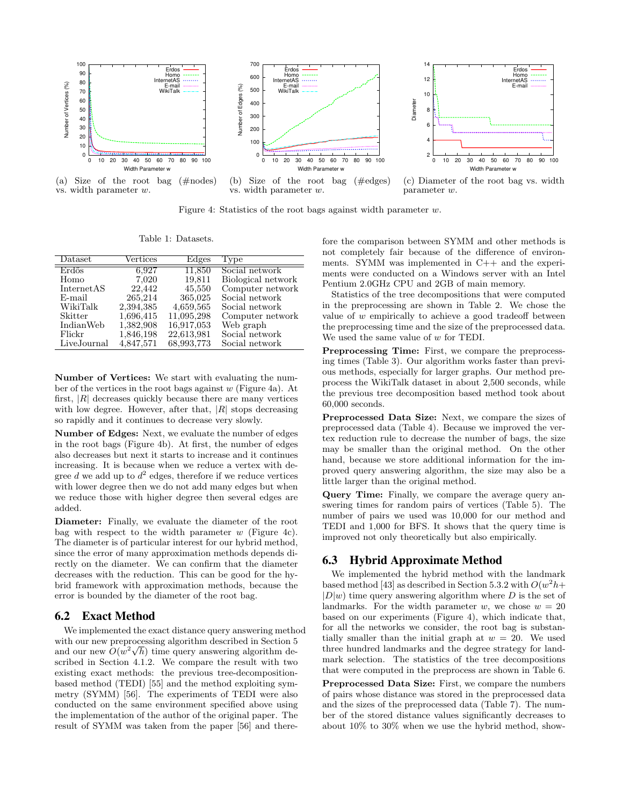

Figure 4: Statistics of the root bags against width parameter *w*.

Table 1: Datasets.

| Dataset     | Vertices  | Edges      | Type               |
|-------------|-----------|------------|--------------------|
| Erdős       | 6,927     | 11,850     | Social network     |
| Homo        | 7.020     | 19,811     | Biological network |
| InternetAS  | 22,442    | 45,550     | Computer network   |
| E-mail      | 265,214   | 365,025    | Social network     |
| WikiTalk    | 2,394,385 | 4,659,565  | Social network     |
| Skitter     | 1,696,415 | 11,095,298 | Computer network   |
| IndianWeb   | 1,382,908 | 16,917,053 | Web graph          |
| Flickr      | 1,846,198 | 22,613,981 | Social network     |
| LiveJournal | 4,847,571 | 68,993,773 | Social network     |

**Number of Vertices:** We start with evaluating the number of the vertices in the root bags against *w* (Figure 4a). At first, *|R|* decreases quickly because there are many vertices with low degree. However, after that, *|R|* stops decreasing so rapidly and it continues to decrease very slowly.

**Number of Edges:** Next, we evaluate the number of edges in the root bags (Figure 4b). At first, the number of edges also decreases but next it starts to increase and it continues increasing. It is because when we reduce a vertex with degree  $d$  we add up to  $d^2$  edges, therefore if we reduce vertices with lower degree then we do not add many edges but when we reduce those with higher degree then several edges are added.

**Diameter:** Finally, we evaluate the diameter of the root bag with respect to the width parameter *w* (Figure 4c). The diameter is of particular interest for our hybrid method, since the error of many approximation methods depends directly on the diameter. We can confirm that the diameter decreases with the reduction. This can be good for the hybrid framework with approximation methods, because the error is bounded by the diameter of the root bag.

## 6.2 Exact Method

We implemented the exact distance query answering method with our new preprocessing algorithm described in Section 5 *√* and our new  $O(w^2 \sqrt{h})$  time query answering algorithm described in Section 4.1.2. We compare the result with two existing exact methods: the previous tree-decompositionbased method (TEDI) [55] and the method exploiting symmetry (SYMM) [56]. The experiments of TEDI were also conducted on the same environment specified above using the implementation of the author of the original paper. The result of SYMM was taken from the paper [56] and therefore the comparison between SYMM and other methods is not completely fair because of the difference of environments. SYMM was implemented in C++ and the experiments were conducted on a Windows server with an Intel Pentium 2.0GHz CPU and 2GB of main memory.

Statistics of the tree decompositions that were computed in the preprocessing are shown in Table 2. We chose the value of *w* empirically to achieve a good tradeoff between the preprocessing time and the size of the preprocessed data. We used the same value of *w* for TEDI.

**Preprocessing Time:** First, we compare the preprocessing times (Table 3). Our algorithm works faster than previous methods, especially for larger graphs. Our method preprocess the WikiTalk dataset in about 2,500 seconds, while the previous tree decomposition based method took about 60,000 seconds.

**Preprocessed Data Size:** Next, we compare the sizes of preprocessed data (Table 4). Because we improved the vertex reduction rule to decrease the number of bags, the size may be smaller than the original method. On the other hand, because we store additional information for the improved query answering algorithm, the size may also be a little larger than the original method.

**Query Time:** Finally, we compare the average query answering times for random pairs of vertices (Table 5). The number of pairs we used was 10,000 for our method and TEDI and 1,000 for BFS. It shows that the query time is improved not only theoretically but also empirically.

# 6.3 Hybrid Approximate Method

We implemented the hybrid method with the landmark based method [43] as described in Section 5.3.2 with  $O(w^2 h +$  $|D|w$  time query answering algorithm where *D* is the set of landmarks. For the width parameter *w*, we chose  $w = 20$ based on our experiments (Figure 4), which indicate that, for all the networks we consider, the root bag is substantially smaller than the initial graph at  $w = 20$ . We used three hundred landmarks and the degree strategy for landmark selection. The statistics of the tree decompositions that were computed in the preprocess are shown in Table 6.

**Preprocessed Data Size:** First, we compare the numbers of pairs whose distance was stored in the preprocessed data and the sizes of the preprocessed data (Table 7). The number of the stored distance values significantly decreases to about 10% to 30% when we use the hybrid method, show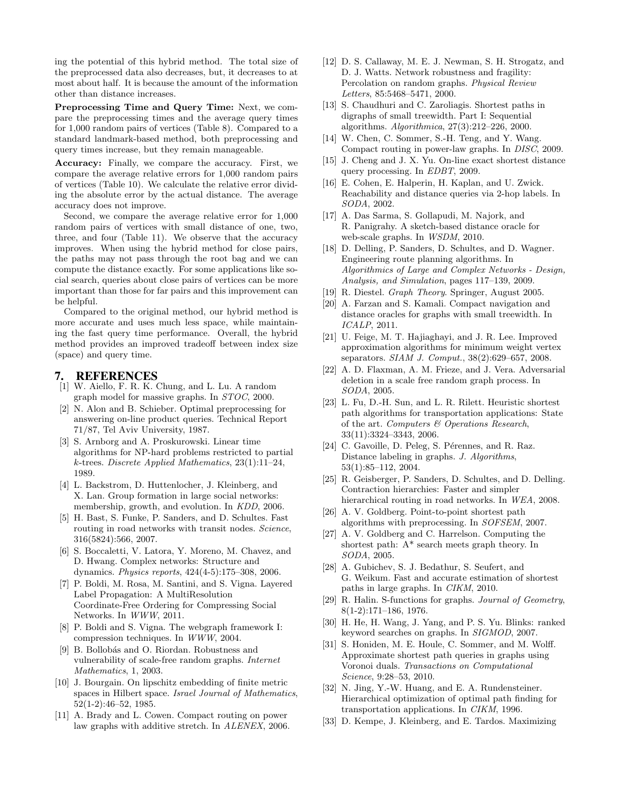ing the potential of this hybrid method. The total size of the preprocessed data also decreases, but, it decreases to at most about half. It is because the amount of the information other than distance increases.

**Preprocessing Time and Query Time:** Next, we compare the preprocessing times and the average query times for 1,000 random pairs of vertices (Table 8). Compared to a standard landmark-based method, both preprocessing and query times increase, but they remain manageable.

**Accuracy:** Finally, we compare the accuracy. First, we compare the average relative errors for 1,000 random pairs of vertices (Table 10). We calculate the relative error dividing the absolute error by the actual distance. The average accuracy does not improve.

Second, we compare the average relative error for 1,000 random pairs of vertices with small distance of one, two, three, and four (Table 11). We observe that the accuracy improves. When using the hybrid method for close pairs, the paths may not pass through the root bag and we can compute the distance exactly. For some applications like social search, queries about close pairs of vertices can be more important than those for far pairs and this improvement can be helpful.

Compared to the original method, our hybrid method is more accurate and uses much less space, while maintaining the fast query time performance. Overall, the hybrid method provides an improved tradeoff between index size (space) and query time.

## 7. REFERENCES

- [1] W. Aiello, F. R. K. Chung, and L. Lu. A random graph model for massive graphs. In *STOC*, 2000.
- [2] N. Alon and B. Schieber. Optimal preprocessing for answering on-line product queries. Technical Report 71/87, Tel Aviv University, 1987.
- [3] S. Arnborg and A. Proskurowski. Linear time algorithms for NP-hard problems restricted to partial *k*-trees. *Discrete Applied Mathematics*, 23(1):11–24, 1989.
- [4] L. Backstrom, D. Huttenlocher, J. Kleinberg, and X. Lan. Group formation in large social networks: membership, growth, and evolution. In *KDD*, 2006.
- [5] H. Bast, S. Funke, P. Sanders, and D. Schultes. Fast routing in road networks with transit nodes. *Science*, 316(5824):566, 2007.
- [6] S. Boccaletti, V. Latora, Y. Moreno, M. Chavez, and D. Hwang. Complex networks: Structure and dynamics. *Physics reports*, 424(4-5):175–308, 2006.
- [7] P. Boldi, M. Rosa, M. Santini, and S. Vigna. Layered Label Propagation: A MultiResolution Coordinate-Free Ordering for Compressing Social Networks. In *WWW*, 2011.
- [8] P. Boldi and S. Vigna. The webgraph framework I: compression techniques. In *WWW*, 2004.
- [9] B. Bollobás and O. Riordan. Robustness and vulnerability of scale-free random graphs. *Internet Mathematics*, 1, 2003.
- [10] J. Bourgain. On lipschitz embedding of finite metric spaces in Hilbert space. *Israel Journal of Mathematics*, 52(1-2):46–52, 1985.
- [11] A. Brady and L. Cowen. Compact routing on power law graphs with additive stretch. In *ALENEX*, 2006.
- [12] D. S. Callaway, M. E. J. Newman, S. H. Strogatz, and D. J. Watts. Network robustness and fragility: Percolation on random graphs. *Physical Review Letters*, 85:5468–5471, 2000.
- [13] S. Chaudhuri and C. Zaroliagis. Shortest paths in digraphs of small treewidth. Part I: Sequential algorithms. *Algorithmica*, 27(3):212–226, 2000.
- [14] W. Chen, C. Sommer, S.-H. Teng, and Y. Wang. Compact routing in power-law graphs. In *DISC*, 2009.
- [15] J. Cheng and J. X. Yu. On-line exact shortest distance query processing. In *EDBT*, 2009.
- [16] E. Cohen, E. Halperin, H. Kaplan, and U. Zwick. Reachability and distance queries via 2-hop labels. In *SODA*, 2002.
- [17] A. Das Sarma, S. Gollapudi, M. Najork, and R. Panigrahy. A sketch-based distance oracle for web-scale graphs. In *WSDM*, 2010.
- [18] D. Delling, P. Sanders, D. Schultes, and D. Wagner. Engineering route planning algorithms. In *Algorithmics of Large and Complex Networks - Design, Analysis, and Simulation*, pages 117–139, 2009.
- [19] R. Diestel. *Graph Theory*. Springer, August 2005.
- [20] A. Farzan and S. Kamali. Compact navigation and distance oracles for graphs with small treewidth. In *ICALP*, 2011.
- [21] U. Feige, M. T. Hajiaghayi, and J. R. Lee. Improved approximation algorithms for minimum weight vertex separators. *SIAM J. Comput.*, 38(2):629–657, 2008.
- [22] A. D. Flaxman, A. M. Frieze, and J. Vera. Adversarial deletion in a scale free random graph process. In *SODA*, 2005.
- [23] L. Fu, D.-H. Sun, and L. R. Rilett. Heuristic shortest path algorithms for transportation applications: State of the art. *Computers & Operations Research*, 33(11):3324–3343, 2006.
- [24] C. Gavoille, D. Peleg, S. Pérennes, and R. Raz. Distance labeling in graphs. *J. Algorithms*, 53(1):85–112, 2004.
- [25] R. Geisberger, P. Sanders, D. Schultes, and D. Delling. Contraction hierarchies: Faster and simpler hierarchical routing in road networks. In *WEA*, 2008.
- [26] A. V. Goldberg. Point-to-point shortest path algorithms with preprocessing. In *SOFSEM*, 2007.
- [27] A. V. Goldberg and C. Harrelson. Computing the shortest path: A\* search meets graph theory. In *SODA*, 2005.
- [28] A. Gubichev, S. J. Bedathur, S. Seufert, and G. Weikum. Fast and accurate estimation of shortest paths in large graphs. In *CIKM*, 2010.
- [29] R. Halin. S-functions for graphs. *Journal of Geometry*, 8(1-2):171–186, 1976.
- [30] H. He, H. Wang, J. Yang, and P. S. Yu. Blinks: ranked keyword searches on graphs. In *SIGMOD*, 2007.
- [31] S. Honiden, M. E. Houle, C. Sommer, and M. Wolff. Approximate shortest path queries in graphs using Voronoi duals. *Transactions on Computational Science*, 9:28–53, 2010.
- [32] N. Jing, Y.-W. Huang, and E. A. Rundensteiner. Hierarchical optimization of optimal path finding for transportation applications. In *CIKM*, 1996.
- [33] D. Kempe, J. Kleinberg, and E. Tardos. Maximizing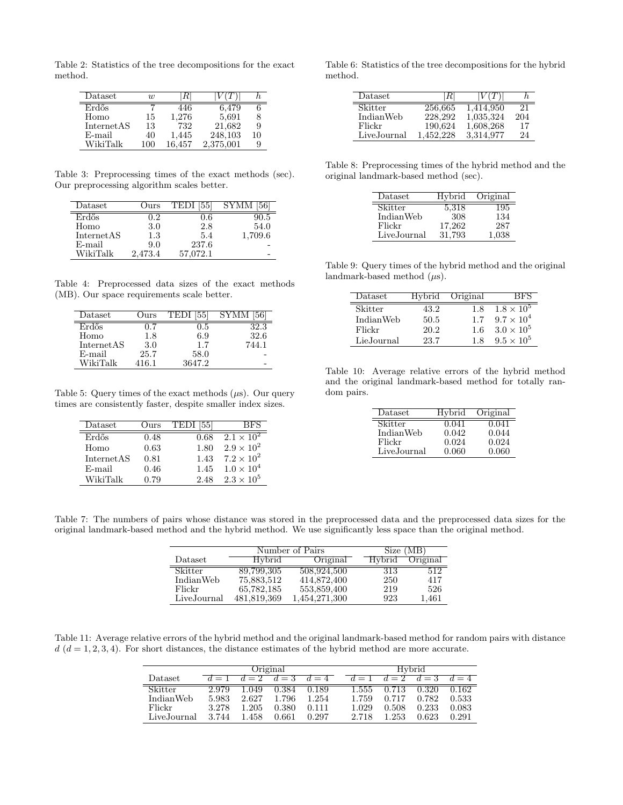Table 2: Statistics of the tree decompositions for the exact method.

| Dataset    | w   |        |           |    |
|------------|-----|--------|-----------|----|
| Erdős      |     | 446    | 6.479     |    |
| Homo       | 15  | 1,276  | 5,691     |    |
| InternetAS | 13  | 732    | 21,682    | 9  |
| $E$ -mail  | 40  | 1,445  | 248,103   | 10 |
| WikiTalk   | 100 | 16.457 | 2,375,001 |    |

Table 3: Preprocessing times of the exact methods (sec). Our preprocessing algorithm scales better.

| $\text{Dataset}$ | Ours    | [55]<br><b>TEDI</b> | SYMM    |
|------------------|---------|---------------------|---------|
| Erdős            | 1.2     | 0.6                 | 90.5    |
| Homo             | 3.0     | 2.8                 | 54.0    |
| InternetAS       | 1.3     | 5.4                 | 1,709.6 |
| $E$ -mail        | 9.0     | 237.6               |         |
| WikiTalk         | 2,473.4 | 57.072.1            |         |

Table 4: Preprocessed data sizes of the exact methods (MB). Our space requirements scale better.

| $\mathrm{D} \mathrm{at } \mathrm{as } \mathrm{et }$ | Jurs  |        |       |
|-----------------------------------------------------|-------|--------|-------|
| Erdős                                               |       | ה ו    | 2.3   |
| Homo                                                | 1.8   | 6.9    | 32.6  |
| InternetAS                                          | 3.0   | 1.7    | 744.1 |
| $E$ -mail                                           | 25.7  | 58.0   |       |
| WikiTalk                                            | 416.1 | 3647.2 |       |

Table 5: Query times of the exact methods  $(\mu s)$ . Our query times are consistently faster, despite smaller index sizes.

| Dataset    | Ours | 1551<br>TEDI | BFS.                |
|------------|------|--------------|---------------------|
| Erdős      | 0.48 | 0.68         | $2.1 \times 10^2$   |
| Homo       | 0.63 | 1.80         | $2.9 \times 10^{2}$ |
| InternetAS | 0.81 | 1.43         | $7.2 \times 10^{2}$ |
| E-mail     | 0.46 | 1.45         | $1.0 \times 10^{4}$ |
| WikiTalk   | 0.79 | 2.48         | $2.3 \times 10^{5}$ |

Table 6: Statistics of the tree decompositions for the hybrid method.

| Dataset     | ĸ         | V ITT     |     |
|-------------|-----------|-----------|-----|
| Skitter     | 256,665   | 1,414,950 | 21. |
| IndianWeb   | 228,292   | 1,035,324 | 204 |
| Flickr      | 190,624   | 1,608,268 | 17  |
| LiveJournal | 1.452.228 | 3.314.977 | 24  |

Table 8: Preprocessing times of the hybrid method and the original landmark-based method (sec).

| Dataset     | Hybrid | Original |
|-------------|--------|----------|
| Skitter     | 5,318  | 195      |
| IndianWeb   | 308    | 134      |
| Flickr      | 17,262 | 287      |
| LiveJournal | 31.793 | 1,038    |

Table 9: Query times of the hybrid method and the original landmark-based method (*µ*s).

| Dataset    | Hybrid | Original | 3 F.S               |
|------------|--------|----------|---------------------|
| Skitter    | 43.2   | 18       | $1.8 \times 10^{5}$ |
| IndianWeb  | 50.5   | 1.7      | $9.7 \times 10^{4}$ |
| Flickr     | 20.2   | 1.6      | $3.0 \times 10^5$   |
| LieJournal | 23.7   | 18       | $9.5 \times 10^{5}$ |

Table 10: Average relative errors of the hybrid method and the original landmark-based method for totally random pairs.

| Dataset     | Hybrid | Original |
|-------------|--------|----------|
| Skitter     | 0.041  | 0.041    |
| IndianWeb   | 0.042  | 0.044    |
| Flickr      | 0.024  | 0.024    |
| LiveJournal | 0.060  | 0.060    |

Table 7: The numbers of pairs whose distance was stored in the preprocessed data and the preprocessed data sizes for the original landmark-based method and the hybrid method. We use significantly less space than the original method.

|             |               | Number of Pairs |               | Size (MB) |
|-------------|---------------|-----------------|---------------|-----------|
| Dataset     | <b>Hybrid</b> | Original        | <b>Hybrid</b> | Original  |
| Skitter     | 89,799,305    | 508,924,500     | 313           | 512       |
| IndianWeb   | 75,883,512    | 414,872,400     | 250           | 417       |
| Flickr      | 65,782,185    | 553,859,400     | 219           | 526       |
| LiveJournal | 481,819,369   | 1,454,271,300   | 923           | 1,461     |

Table 11: Average relative errors of the hybrid method and the original landmark-based method for random pairs with distance  $d$  ( $d = 1, 2, 3, 4$ ). For short distances, the distance estimates of the hybrid method are more accurate.

|                | Original |       |       |       |       | Hybrid      |       |              |
|----------------|----------|-------|-------|-------|-------|-------------|-------|--------------|
| Dataset        | $d=1$    | $d=2$ | $d=3$ | $d=4$ |       | $d=1$ $d=2$ | $d=3$ | $d \equiv 4$ |
| <b>Skitter</b> | 2.979    | 1.049 | 0.384 | 0.189 | 1.555 | 0.713       | 0.320 | 0.162        |
| IndianWeb      | 5.983    | 2.627 | 1.796 | 1.254 | 1.759 | 0.717       | 0.782 | 0.533        |
| Flickr         | 3.278    | 1.205 | 0.380 | 0.111 | 1.029 | 0.508       | 0.233 | 0.083        |
| LiveJournal    | 3.744    | 1.458 | 0.661 | 0.297 | 2.718 | 1.253       | 0.623 | 0.291        |